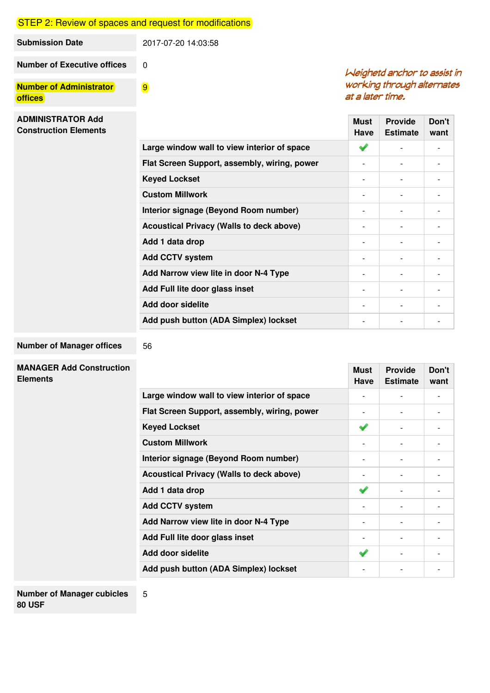## **STEP 2: Review of spaces and request for modifications**

9

56

5

| Submission Date                    | 2017-07-20 14:03:58 |
|------------------------------------|---------------------|
| <b>Number of Executive offices</b> |                     |

**Number of Administrator offices**

### Weighetd anchor to assist in working through alternates at a later time.

| <b>ADMINISTRATOR Add</b><br><b>Construction Elements</b> |                                                 | <b>Must</b><br>Have      | <b>Provide</b><br><b>Estimate</b> | Don't<br>want                |
|----------------------------------------------------------|-------------------------------------------------|--------------------------|-----------------------------------|------------------------------|
|                                                          | Large window wall to view interior of space     | ✔                        | $\overline{\phantom{a}}$          |                              |
|                                                          | Flat Screen Support, assembly, wiring, power    | $\overline{\phantom{0}}$ | $\overline{\phantom{a}}$          | $\qquad \qquad \blacksquare$ |
|                                                          | <b>Keyed Lockset</b>                            |                          | $\overline{\phantom{a}}$          | $\overline{\phantom{a}}$     |
|                                                          | <b>Custom Millwork</b>                          |                          | $\qquad \qquad \blacksquare$      | $\overline{\phantom{a}}$     |
|                                                          | Interior signage (Beyond Room number)           | $\overline{\phantom{0}}$ | $\overline{\phantom{0}}$          |                              |
|                                                          | <b>Acoustical Privacy (Walls to deck above)</b> |                          | $\overline{\phantom{a}}$          | $\overline{\phantom{a}}$     |
|                                                          | Add 1 data drop                                 |                          | $\overline{\phantom{0}}$          | $\overline{\phantom{a}}$     |
|                                                          | <b>Add CCTV system</b>                          |                          | $\overline{\phantom{a}}$          | $\qquad \qquad \blacksquare$ |
|                                                          | Add Narrow view lite in door N-4 Type           |                          | $\qquad \qquad \blacksquare$      |                              |
|                                                          | Add Full lite door glass inset                  | $\overline{\phantom{0}}$ | $\qquad \qquad \blacksquare$      | $\overline{\phantom{a}}$     |
|                                                          | Add door sidelite                               |                          | $\overline{\phantom{0}}$          | $\overline{\phantom{a}}$     |
|                                                          | Add push button (ADA Simplex) lockset           | $\overline{\phantom{a}}$ | $\overline{\phantom{a}}$          | $\overline{\phantom{a}}$     |

#### **Number of Manager offices**

# **MANAGER Add Construction**

| MANAGER AGG CONSITUCIION<br><b>Elements</b> |                                                 | <b>Must</b><br>Have      | <b>Provide</b><br><b>Estimate</b> | Don't<br>want   |
|---------------------------------------------|-------------------------------------------------|--------------------------|-----------------------------------|-----------------|
|                                             | Large window wall to view interior of space     |                          |                                   |                 |
|                                             | Flat Screen Support, assembly, wiring, power    |                          |                                   |                 |
|                                             | <b>Keyed Lockset</b>                            | ✔                        |                                   |                 |
|                                             | <b>Custom Millwork</b>                          |                          |                                   |                 |
|                                             | Interior signage (Beyond Room number)           |                          |                                   |                 |
|                                             | <b>Acoustical Privacy (Walls to deck above)</b> |                          |                                   |                 |
|                                             | Add 1 data drop                                 | ✔                        |                                   |                 |
|                                             | <b>Add CCTV system</b>                          |                          |                                   |                 |
|                                             | Add Narrow view lite in door N-4 Type           |                          | $\overline{\phantom{0}}$          |                 |
|                                             | Add Full lite door glass inset                  |                          |                                   |                 |
|                                             | Add door sidelite                               | ✔                        |                                   |                 |
|                                             | Add push button (ADA Simplex) lockset           | $\overline{\phantom{0}}$ | $\overline{a}$                    | $\qquad \qquad$ |
|                                             |                                                 |                          |                                   |                 |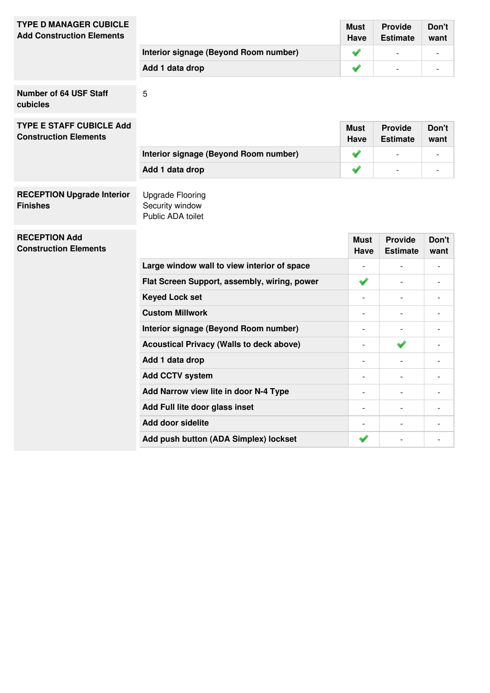| <b>TYPE D MANAGER CUBICLE</b><br><b>Add Construction Elements</b> |                                                 | <b>Must</b><br>Have      | <b>Provide</b><br><b>Estimate</b> | Don't<br>want            |
|-------------------------------------------------------------------|-------------------------------------------------|--------------------------|-----------------------------------|--------------------------|
|                                                                   | Interior signage (Beyond Room number)           | ✔                        |                                   |                          |
|                                                                   | Add 1 data drop                                 | ✔                        |                                   | $\overline{\phantom{a}}$ |
| <b>Number of 64 USF Staff</b><br>cubicles                         | 5                                               |                          |                                   |                          |
| <b>TYPE E STAFF CUBICLE Add</b><br><b>Construction Elements</b>   |                                                 | <b>Must</b><br>Have      | <b>Provide</b><br><b>Estimate</b> | Don't<br>want            |
|                                                                   | Interior signage (Beyond Room number)           | ✔                        | $\overline{\phantom{m}}$          | $\overline{a}$           |
|                                                                   | Add 1 data drop                                 | ✔                        |                                   | $\overline{\phantom{a}}$ |
| <b>RECEPTION Upgrade Interior</b><br><b>Finishes</b>              | <b>Upgrade Flooring</b><br>Security window      |                          |                                   |                          |
| <b>RECEPTION Add</b>                                              | Public ADA toilet                               | Must                     | <b>Provide</b>                    | Don't                    |
| <b>Construction Elements</b>                                      |                                                 | Have                     | <b>Estimate</b>                   | want                     |
|                                                                   | Large window wall to view interior of space     |                          |                                   |                          |
|                                                                   | Flat Screen Support, assembly, wiring, power    | ✔                        | $\overline{a}$                    | $\overline{\phantom{a}}$ |
|                                                                   | <b>Keyed Lock set</b>                           | $\overline{\phantom{a}}$ | $\overline{a}$                    |                          |
|                                                                   | <b>Custom Millwork</b>                          | $\overline{a}$           | $\overline{a}$                    |                          |
|                                                                   | Interior signage (Beyond Room number)           | $\overline{a}$           |                                   |                          |
|                                                                   | <b>Acoustical Privacy (Walls to deck above)</b> |                          | ✔                                 |                          |
|                                                                   | Add 1 data drop                                 | $\blacksquare$           | $\overline{a}$                    |                          |
|                                                                   | <b>Add CCTV system</b>                          | $\overline{\phantom{a}}$ | $\overline{a}$                    | $\overline{\phantom{a}}$ |
|                                                                   | Add Narrow view lite in door N-4 Type           | $\overline{\phantom{a}}$ | $\overline{a}$                    |                          |
|                                                                   | Add Full lite door glass inset                  | $\blacksquare$           | $\overline{a}$                    |                          |

**Add push button (ADA Simplex) lockset** - -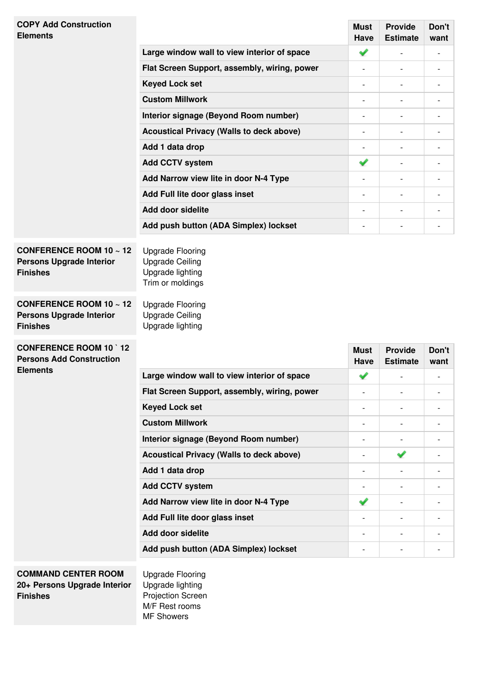| <b>COPY Add Construction</b><br><b>Elements</b>                                                                                                                                      |                                                                                                                                                                    | <b>Must</b><br><b>Have</b> | <b>Provide</b><br><b>Estimate</b> | Don't<br>want            |
|--------------------------------------------------------------------------------------------------------------------------------------------------------------------------------------|--------------------------------------------------------------------------------------------------------------------------------------------------------------------|----------------------------|-----------------------------------|--------------------------|
|                                                                                                                                                                                      | Large window wall to view interior of space                                                                                                                        | ✔                          |                                   | $\overline{a}$           |
|                                                                                                                                                                                      | Flat Screen Support, assembly, wiring, power                                                                                                                       | $\overline{\phantom{0}}$   |                                   | $\overline{a}$           |
|                                                                                                                                                                                      | <b>Keyed Lock set</b>                                                                                                                                              | $\overline{\phantom{0}}$   |                                   | $\overline{a}$           |
|                                                                                                                                                                                      | <b>Custom Millwork</b>                                                                                                                                             | -                          |                                   | $\overline{a}$           |
|                                                                                                                                                                                      | Interior signage (Beyond Room number)                                                                                                                              | $\overline{a}$             | $\overline{a}$                    |                          |
|                                                                                                                                                                                      | <b>Acoustical Privacy (Walls to deck above)</b>                                                                                                                    | $\overline{\phantom{0}}$   | $\overline{\phantom{a}}$          |                          |
|                                                                                                                                                                                      | Add 1 data drop                                                                                                                                                    | $\overline{\phantom{a}}$   |                                   |                          |
|                                                                                                                                                                                      | <b>Add CCTV system</b>                                                                                                                                             | ✔                          |                                   | $\overline{a}$           |
|                                                                                                                                                                                      | Add Narrow view lite in door N-4 Type                                                                                                                              | $\overline{\phantom{0}}$   |                                   | $\overline{a}$           |
|                                                                                                                                                                                      | Add Full lite door glass inset                                                                                                                                     | -                          |                                   |                          |
|                                                                                                                                                                                      | <b>Add door sidelite</b>                                                                                                                                           | $\overline{\phantom{a}}$   | $\overline{\phantom{a}}$          | $\overline{\phantom{0}}$ |
|                                                                                                                                                                                      | Add push button (ADA Simplex) lockset                                                                                                                              | $\overline{a}$             | $\overline{a}$                    | $\overline{a}$           |
| CONFERENCE ROOM 10 $\sim$ 12<br><b>Persons Upgrade Interior</b><br><b>Finishes</b><br>CONFERENCE ROOM 10 $\scriptstyle\sim$ 12<br><b>Persons Upgrade Interior</b><br><b>Finishes</b> | <b>Upgrade Flooring</b><br><b>Upgrade Ceiling</b><br>Upgrade lighting<br>Trim or moldings<br><b>Upgrade Flooring</b><br><b>Upgrade Ceiling</b><br>Upgrade lighting |                            |                                   |                          |
| <b>CONFERENCE ROOM 10 12</b><br><b>Persons Add Construction</b>                                                                                                                      |                                                                                                                                                                    | <b>Must</b>                | <b>Provide</b>                    | Don't                    |
| <b>Elements</b>                                                                                                                                                                      | Large window wall to view interior of space                                                                                                                        | <b>Have</b>                | <b>Estimate</b>                   | want                     |
|                                                                                                                                                                                      |                                                                                                                                                                    | ✔                          |                                   | $\overline{\phantom{a}}$ |
|                                                                                                                                                                                      | Flat Screen Support, assembly, wiring, power                                                                                                                       | -                          |                                   |                          |
|                                                                                                                                                                                      | <b>Keyed Lock set</b>                                                                                                                                              | -                          | $\overline{\phantom{0}}$          |                          |
|                                                                                                                                                                                      | <b>Custom Millwork</b>                                                                                                                                             | $\overline{\phantom{0}}$   |                                   |                          |
|                                                                                                                                                                                      | Interior signage (Beyond Room number)                                                                                                                              | -                          |                                   |                          |
|                                                                                                                                                                                      | <b>Acoustical Privacy (Walls to deck above)</b>                                                                                                                    | $\overline{a}$             | ✔                                 |                          |
|                                                                                                                                                                                      | Add 1 data drop                                                                                                                                                    | -                          |                                   |                          |
|                                                                                                                                                                                      | <b>Add CCTV system</b>                                                                                                                                             | $\overline{a}$             |                                   |                          |
|                                                                                                                                                                                      | Add Narrow view lite in door N-4 Type                                                                                                                              | ✔                          | $\overline{\phantom{a}}$          |                          |
|                                                                                                                                                                                      | Add Full lite door glass inset<br>Add door sidelite                                                                                                                | $\overline{\phantom{a}}$   |                                   |                          |
|                                                                                                                                                                                      |                                                                                                                                                                    | $\overline{a}$             |                                   |                          |
|                                                                                                                                                                                      | Add push button (ADA Simplex) lockset                                                                                                                              | $\overline{a}$             | $\overline{\phantom{0}}$          | $\overline{a}$           |
| <b>COMMAND CENTER ROOM</b><br>20+ Persons Upgrade Interior<br><b>Finishes</b>                                                                                                        | <b>Upgrade Flooring</b><br>Upgrade lighting<br>Projection Screen<br>M/F Rest rooms<br><b>MF Showers</b>                                                            |                            |                                   |                          |